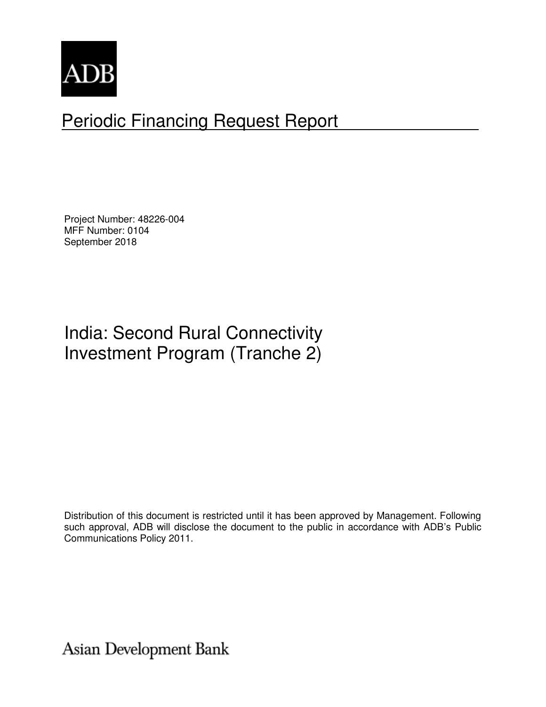

# Periodic Financing Request Report

Project Number: 48226-004 MFF Number: 0104 September 2018

# India: Second Rural Connectivity Investment Program (Tranche 2)

Distribution of this document is restricted until it has been approved by Management. Following such approval, ADB will disclose the document to the public in accordance with ADB's Public Communications Policy 2011.

Asian Development Bank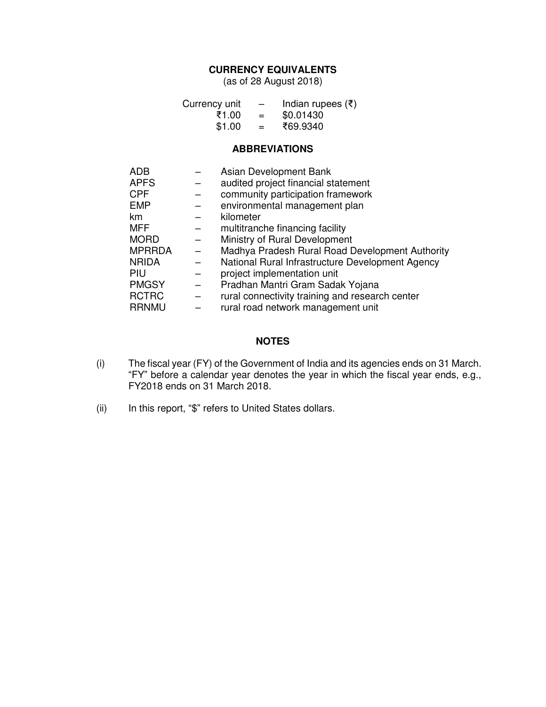# **CURRENCY EQUIVALENTS**

(as of 28 August 2018)

| Currency unit | $\overline{\phantom{m}}$ | Indian rupees $(\bar{\tau})$ |
|---------------|--------------------------|------------------------------|
| ₹1.00         | $=$                      | \$0.01430                    |
| \$1.00        | $=$                      | ₹69.9340                     |

#### **ABBREVIATIONS**

| ADB           | Asian Development Bank                           |
|---------------|--------------------------------------------------|
| APFS          | audited project financial statement              |
| CPF           | community participation framework                |
| <b>EMP</b>    | environmental management plan                    |
| km            | kilometer                                        |
| MFF           | multitranche financing facility                  |
| MORD          | Ministry of Rural Development                    |
| <b>MPRRDA</b> | Madhya Pradesh Rural Road Development Authority  |
| NRIDA         | National Rural Infrastructure Development Agency |
| PIU           | project implementation unit                      |
| <b>PMGSY</b>  | Pradhan Mantri Gram Sadak Yojana                 |
| <b>RCTRC</b>  | rural connectivity training and research center  |
| <b>RRNMU</b>  | rural road network management unit               |
|               |                                                  |

# **NOTES**

- (i) The fiscal year (FY) of the Government of India and its agencies ends on 31 March. "FY" before a calendar year denotes the year in which the fiscal year ends, e.g., FY2018 ends on 31 March 2018.
- (ii) In this report, "\$" refers to United States dollars.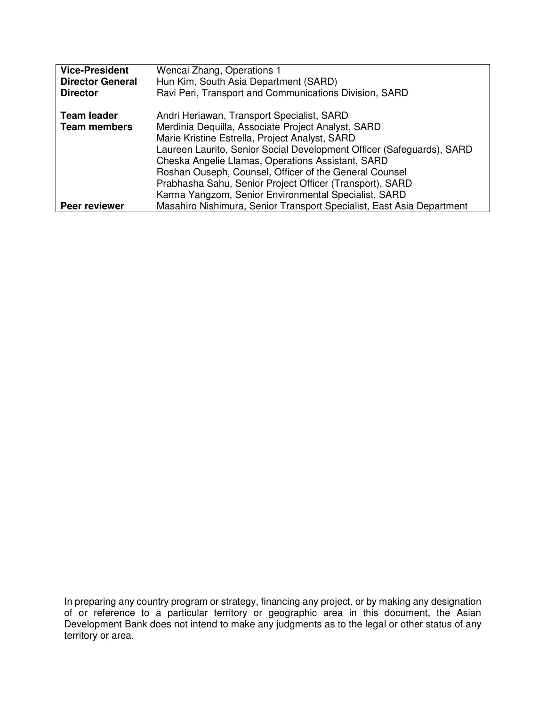| <b>Vice-President</b>   | Wencai Zhang, Operations 1                                            |  |  |
|-------------------------|-----------------------------------------------------------------------|--|--|
| <b>Director General</b> | Hun Kim, South Asia Department (SARD)                                 |  |  |
| <b>Director</b>         | Ravi Peri, Transport and Communications Division, SARD                |  |  |
| <b>Team leader</b>      | Andri Heriawan, Transport Specialist, SARD                            |  |  |
| <b>Team members</b>     | Merdinia Dequilla, Associate Project Analyst, SARD                    |  |  |
|                         | Marie Kristine Estrella, Project Analyst, SARD                        |  |  |
|                         | Laureen Laurito, Senior Social Development Officer (Safeguards), SARD |  |  |
|                         | Cheska Angelie Llamas, Operations Assistant, SARD                     |  |  |
|                         | Roshan Ouseph, Counsel, Officer of the General Counsel                |  |  |
|                         | Prabhasha Sahu, Senior Project Officer (Transport), SARD              |  |  |
|                         | Karma Yangzom, Senior Environmental Specialist, SARD                  |  |  |
| <b>Peer reviewer</b>    | Masahiro Nishimura, Senior Transport Specialist, East Asia Department |  |  |

In preparing any country program or strategy, financing any project, or by making any designation of or reference to a particular territory or geographic area in this document, the Asian Development Bank does not intend to make any judgments as to the legal or other status of any territory or area.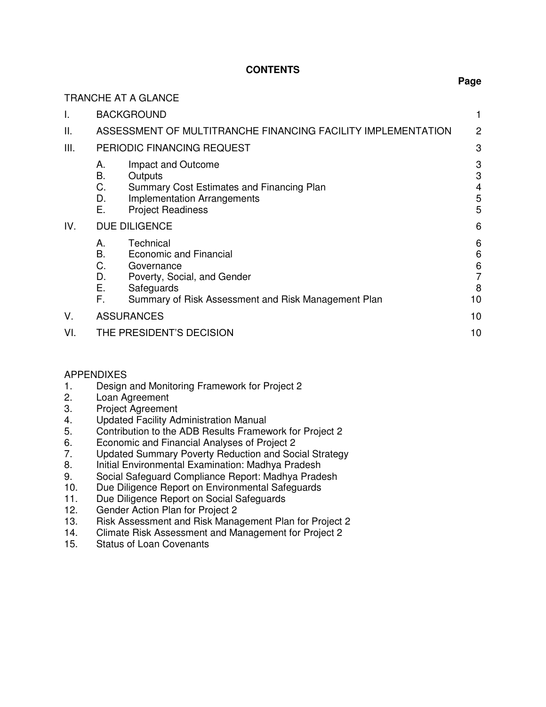# **CONTENTS**

**Page** 

|      | <b>TRANCHE AT A GLANCE</b>                                                                                                                                                                |                                          |  |
|------|-------------------------------------------------------------------------------------------------------------------------------------------------------------------------------------------|------------------------------------------|--|
| I.   | <b>BACKGROUND</b>                                                                                                                                                                         |                                          |  |
| II.  | ASSESSMENT OF MULTITRANCHE FINANCING FACILITY IMPLEMENTATION<br>2                                                                                                                         |                                          |  |
| III. | PERIODIC FINANCING REQUEST                                                                                                                                                                | 3                                        |  |
|      | Impact and Outcome<br>А.<br>В.<br>Outputs<br>C.<br>Summary Cost Estimates and Financing Plan<br>D.<br><b>Implementation Arrangements</b><br>Е.<br><b>Project Readiness</b>                | 3<br>3<br>4<br>5<br>5                    |  |
| IV.  | <b>DUE DILIGENCE</b>                                                                                                                                                                      | 6                                        |  |
|      | Technical<br>А.<br>B.<br>Economic and Financial<br>C.<br>Governance<br>D.<br>Poverty, Social, and Gender<br>Ε.<br>Safeguards<br>F.<br>Summary of Risk Assessment and Risk Management Plan | 6<br>6<br>6<br>$\overline{7}$<br>8<br>10 |  |
| V.   | <b>ASSURANCES</b><br>10                                                                                                                                                                   |                                          |  |
| VI.  | THE PRESIDENT'S DECISION                                                                                                                                                                  | 10                                       |  |

#### APPENDIXES

- 1. Design and Monitoring Framework for Project 2
- 2. Loan Agreement
- 3. Project Agreement
- 4. Updated Facility Administration Manual
- 5. Contribution to the ADB Results Framework for Project 2
- 6. Economic and Financial Analyses of Project 2
- 7. Updated Summary Poverty Reduction and Social Strategy
- 8. Initial Environmental Examination: Madhya Pradesh
- 9. Social Safeguard Compliance Report: Madhya Pradesh
- 10. Due Diligence Report on Environmental Safeguards
- 11. Due Diligence Report on Social Safeguards
- 12. Gender Action Plan for Project 2
- 13. Risk Assessment and Risk Management Plan for Project 2
- 14. Climate Risk Assessment and Management for Project 2
- 15. Status of Loan Covenants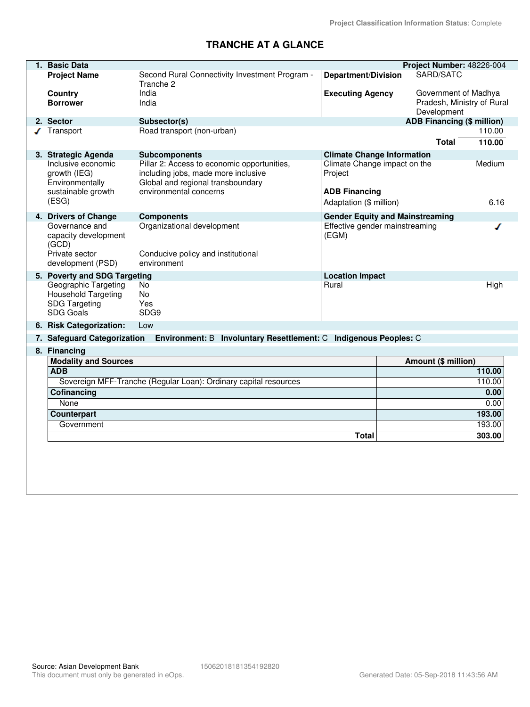# **TRANCHE AT A GLANCE**

| 1. Basic Data                                                              |                                                                          |                                         | Project Number: 48226-004         |        |
|----------------------------------------------------------------------------|--------------------------------------------------------------------------|-----------------------------------------|-----------------------------------|--------|
| <b>Project Name</b>                                                        | Second Rural Connectivity Investment Program -<br>Tranche 2              | <b>Department/Division</b>              | SARD/SATC                         |        |
| Country                                                                    | India                                                                    | <b>Executing Agency</b>                 | Government of Madhya              |        |
| <b>Borrower</b>                                                            | India                                                                    |                                         | Pradesh, Ministry of Rural        |        |
|                                                                            |                                                                          |                                         | Development                       |        |
| 2. Sector                                                                  | Subsector(s)                                                             |                                         | <b>ADB Financing (\$ million)</b> |        |
| Transport                                                                  | Road transport (non-urban)                                               |                                         |                                   | 110.00 |
|                                                                            |                                                                          |                                         | <b>Total</b>                      | 110.00 |
| 3. Strategic Agenda                                                        | <b>Subcomponents</b>                                                     | <b>Climate Change Information</b>       |                                   |        |
| Inclusive economic                                                         | Pillar 2: Access to economic opportunities,                              | Climate Change impact on the            |                                   | Medium |
| growth (IEG)<br>Environmentally                                            | including jobs, made more inclusive<br>Global and regional transboundary | Project                                 |                                   |        |
| sustainable growth                                                         | environmental concerns                                                   | <b>ADB Financing</b>                    |                                   |        |
| (ESG)                                                                      |                                                                          | Adaptation (\$ million)                 |                                   | 6.16   |
|                                                                            |                                                                          |                                         |                                   |        |
| 4. Drivers of Change                                                       | <b>Components</b>                                                        | <b>Gender Equity and Mainstreaming</b>  |                                   |        |
| Governance and<br>capacity development                                     | Organizational development                                               | Effective gender mainstreaming<br>(EGM) |                                   | ◢      |
| (GCD)                                                                      |                                                                          |                                         |                                   |        |
| Private sector                                                             | Conducive policy and institutional                                       |                                         |                                   |        |
| development (PSD)                                                          | environment                                                              |                                         |                                   |        |
| 5. Poverty and SDG Targeting<br><b>Location Impact</b>                     |                                                                          |                                         |                                   |        |
| Geographic Targeting                                                       | No.                                                                      | Rural                                   |                                   | High   |
| <b>Household Targeting</b>                                                 | <b>No</b>                                                                |                                         |                                   |        |
| <b>SDG Targeting</b>                                                       | Yes                                                                      |                                         |                                   |        |
| <b>SDG Goals</b>                                                           | SDG9                                                                     |                                         |                                   |        |
| 6. Risk Categorization:                                                    | Low                                                                      |                                         |                                   |        |
| 7. Safeguard Categorization                                                | Environment: B Involuntary Resettlement: C Indigenous Peoples: C         |                                         |                                   |        |
| 8. Financing                                                               |                                                                          |                                         |                                   |        |
| <b>Modality and Sources</b><br>Amount (\$ million)                         |                                                                          |                                         |                                   |        |
| <b>ADB</b><br>110.00                                                       |                                                                          |                                         |                                   |        |
| Sovereign MFF-Tranche (Regular Loan): Ordinary capital resources<br>110.00 |                                                                          |                                         |                                   |        |
| Cofinancing                                                                |                                                                          |                                         |                                   | 0.00   |
| None                                                                       |                                                                          |                                         |                                   | 0.00   |
| Counterpart                                                                |                                                                          |                                         |                                   | 193.00 |
| 193.00<br>Government                                                       |                                                                          |                                         |                                   |        |
|                                                                            |                                                                          | <b>Total</b>                            |                                   | 303.00 |
|                                                                            |                                                                          |                                         |                                   |        |
|                                                                            |                                                                          |                                         |                                   |        |
|                                                                            |                                                                          |                                         |                                   |        |
|                                                                            |                                                                          |                                         |                                   |        |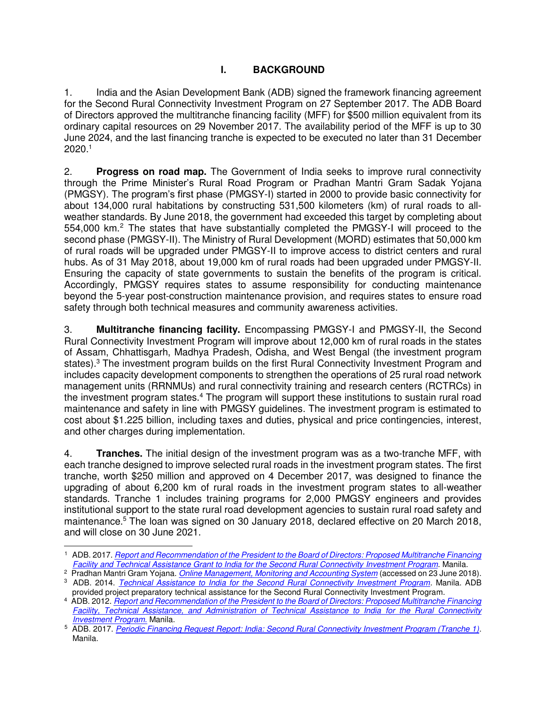# **I. BACKGROUND**

1. India and the Asian Development Bank (ADB) signed the framework financing agreement for the Second Rural Connectivity Investment Program on 27 September 2017. The ADB Board of Directors approved the multitranche financing facility (MFF) for \$500 million equivalent from its ordinary capital resources on 29 November 2017. The availability period of the MFF is up to 30 June 2024, and the last financing tranche is expected to be executed no later than 31 December 2020. 1

2. **Progress on road map.** The Government of India seeks to improve rural connectivity through the Prime Minister's Rural Road Program or Pradhan Mantri Gram Sadak Yojana (PMGSY). The program's first phase (PMGSY-I) started in 2000 to provide basic connectivity for about 134,000 rural habitations by constructing 531,500 kilometers (km) of rural roads to allweather standards. By June 2018, the government had exceeded this target by completing about 554,000 km.<sup>2</sup> The states that have substantially completed the PMGSY-I will proceed to the second phase (PMGSY-II). The Ministry of Rural Development (MORD) estimates that 50,000 km of rural roads will be upgraded under PMGSY-II to improve access to district centers and rural hubs. As of 31 May 2018, about 19,000 km of rural roads had been upgraded under PMGSY-II. Ensuring the capacity of state governments to sustain the benefits of the program is critical. Accordingly, PMGSY requires states to assume responsibility for conducting maintenance beyond the 5-year post-construction maintenance provision, and requires states to ensure road safety through both technical measures and community awareness activities.

3. **Multitranche financing facility.** Encompassing PMGSY-I and PMGSY-II, the Second Rural Connectivity Investment Program will improve about 12,000 km of rural roads in the states of Assam, Chhattisgarh, Madhya Pradesh, Odisha, and West Bengal (the investment program states).<sup>3</sup> The investment program builds on the first Rural Connectivity Investment Program and includes capacity development components to strengthen the operations of 25 rural road network management units (RRNMUs) and rural connectivity training and research centers (RCTRCs) in the investment program states.<sup>4</sup> The program will support these institutions to sustain rural road maintenance and safety in line with PMGSY guidelines. The investment program is estimated to cost about \$1.225 billion, including taxes and duties, physical and price contingencies, interest, and other charges during implementation.

4. **Tranches.** The initial design of the investment program was as a two-tranche MFF, with each tranche designed to improve selected rural roads in the investment program states. The first tranche, worth \$250 million and approved on 4 December 2017, was designed to finance the upgrading of about 6,200 km of rural roads in the investment program states to all-weather standards. Tranche 1 includes training programs for 2,000 PMGSY engineers and provides institutional support to the state rural road development agencies to sustain rural road safety and maintenance.<sup>5</sup> The loan was signed on 30 January 2018, declared effective on 20 March 2018, and will close on 30 June 2021.

 $\overline{a}$ 1 ADB. 2017. *[Report and Recommendation of the President to the Board of Directors: Proposed Multitranche Financing](https://www.adb.org/projects/48226-002/main)  [Facility and Technical Assistance Grant to India for the Second Rural Connectivity Investment Program](https://www.adb.org/projects/48226-002/main)*. Manila.

<sup>2</sup> Pradhan Mantri Gram Yojana. *[Online Management, Monitoring and Accounting System](http://omms.nic.in/Home/CitizenPage/)* (accessed on 23 June 2018). 3 ADB. 2014. *[Technical Assistance to India for the Second Rural Connectivity Investment Program](https://www.adb.org/sites/default/files/project-document/151212/48226-001-pptar.pdf)*. Manila. ADB provided project preparatory technical assistance for the Second Rural Connectivity Investment Program.

<sup>4</sup> ADB. 2012. *[Report and Recommendation of the President to the Board of Directors: Proposed Multitranche Financing](https://www.adb.org/projects/40423-013/main)  [Facility, Technical Assistance, and Administration of Technical Assistance to India for the Rural Connectivity](https://www.adb.org/projects/40423-013/main)  [Investment Program.](https://www.adb.org/projects/40423-013/main)* Manila.

<sup>5</sup> ADB. 2017. *[Periodic Financing Request Report: India: Second Rural Connectivity Investment Program \(Tranche 1\)](https://www.adb.org/projects/48226-003/main)*. Manila.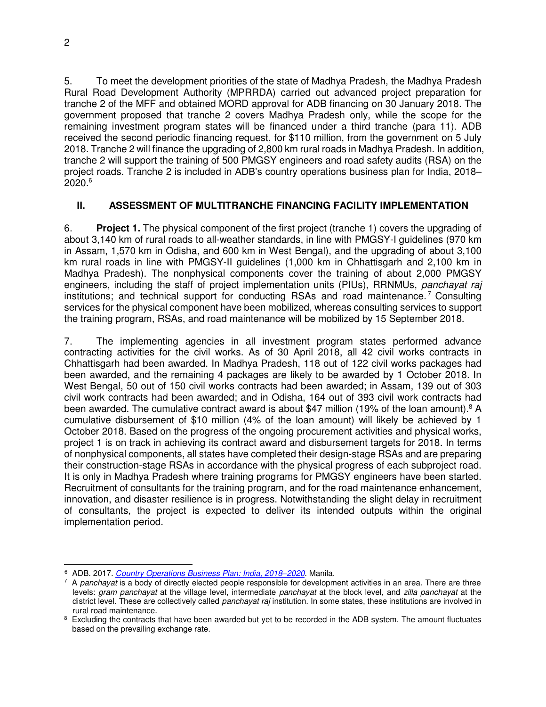5. To meet the development priorities of the state of Madhya Pradesh, the Madhya Pradesh Rural Road Development Authority (MPRRDA) carried out advanced project preparation for tranche 2 of the MFF and obtained MORD approval for ADB financing on 30 January 2018. The government proposed that tranche 2 covers Madhya Pradesh only, while the scope for the remaining investment program states will be financed under a third tranche (para 11). ADB received the second periodic financing request, for \$110 million, from the government on 5 July 2018. Tranche 2 will finance the upgrading of 2,800 km rural roads in Madhya Pradesh. In addition, tranche 2 will support the training of 500 PMGSY engineers and road safety audits (RSA) on the project roads. Tranche 2 is included in ADB's country operations business plan for India, 2018– 2020.<sup>6</sup>

# **II. ASSESSMENT OF MULTITRANCHE FINANCING FACILITY IMPLEMENTATION**

6. **Project 1.** The physical component of the first project (tranche 1) covers the upgrading of about 3,140 km of rural roads to all-weather standards, in line with PMGSY-I guidelines (970 km in Assam, 1,570 km in Odisha, and 600 km in West Bengal), and the upgrading of about 3,100 km rural roads in line with PMGSY-II guidelines (1,000 km in Chhattisgarh and 2,100 km in Madhya Pradesh). The nonphysical components cover the training of about 2,000 PMGSY engineers, including the staff of project implementation units (PIUs), RRNMUs, *panchayat raj*  institutions; and technical support for conducting RSAs and road maintenance.<sup>7</sup> Consulting services for the physical component have been mobilized, whereas consulting services to support the training program, RSAs, and road maintenance will be mobilized by 15 September 2018.

7. The implementing agencies in all investment program states performed advance contracting activities for the civil works. As of 30 April 2018, all 42 civil works contracts in Chhattisgarh had been awarded. In Madhya Pradesh, 118 out of 122 civil works packages had been awarded, and the remaining 4 packages are likely to be awarded by 1 October 2018. In West Bengal, 50 out of 150 civil works contracts had been awarded; in Assam, 139 out of 303 civil work contracts had been awarded; and in Odisha, 164 out of 393 civil work contracts had been awarded. The cumulative contract award is about \$47 million (19% of the loan amount).<sup>8</sup> A cumulative disbursement of \$10 million (4% of the loan amount) will likely be achieved by 1 October 2018. Based on the progress of the ongoing procurement activities and physical works, project 1 is on track in achieving its contract award and disbursement targets for 2018. In terms of nonphysical components, all states have completed their design-stage RSAs and are preparing their construction-stage RSAs in accordance with the physical progress of each subproject road. It is only in Madhya Pradesh where training programs for PMGSY engineers have been started. Recruitment of consultants for the training program, and for the road maintenance enhancement, innovation, and disaster resilience is in progress. Notwithstanding the slight delay in recruitment of consultants, the project is expected to deliver its intended outputs within the original implementation period.

 6 ADB. 2017. *[Country Operations Business Plan: India, 2018](http://www.adb.org/)–2020*. Manila.

<sup>7</sup> A *panchayat* is a body of directly elected people responsible for development activities in an area. There are three levels: *gram panchayat* at the village level, intermediate *panchayat* at the block level, and *zilla panchayat* at the district level. These are collectively called *panchayat raj* institution. In some states, these institutions are involved in rural road maintenance.

<sup>&</sup>lt;sup>8</sup> Excluding the contracts that have been awarded but yet to be recorded in the ADB system. The amount fluctuates based on the prevailing exchange rate.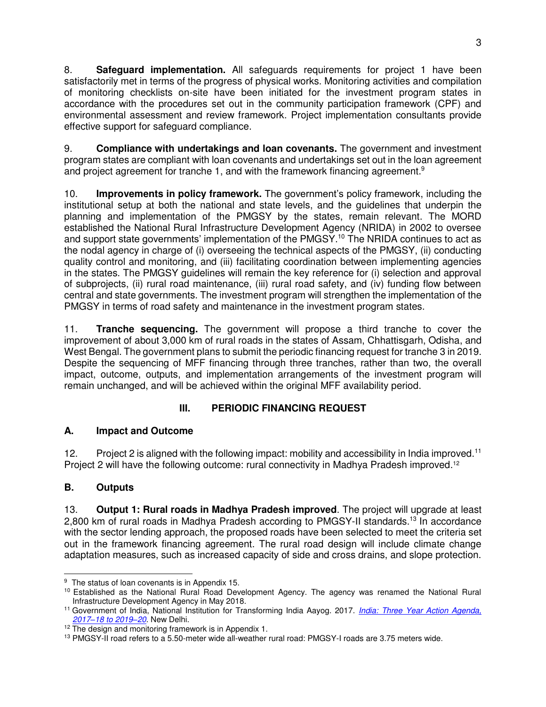8. **Safeguard implementation.** All safeguards requirements for project 1 have been satisfactorily met in terms of the progress of physical works. Monitoring activities and compilation of monitoring checklists on-site have been initiated for the investment program states in accordance with the procedures set out in the community participation framework (CPF) and environmental assessment and review framework. Project implementation consultants provide effective support for safeguard compliance.

9. **Compliance with undertakings and loan covenants.** The government and investment program states are compliant with loan covenants and undertakings set out in the loan agreement and project agreement for tranche 1, and with the framework financing agreement.<sup>9</sup>

10. **Improvements in policy framework.** The government's policy framework, including the institutional setup at both the national and state levels, and the guidelines that underpin the planning and implementation of the PMGSY by the states, remain relevant. The MORD established the National Rural Infrastructure Development Agency (NRIDA) in 2002 to oversee and support state governments' implementation of the PMGSY.<sup>10</sup> The NRIDA continues to act as the nodal agency in charge of (i) overseeing the technical aspects of the PMGSY, (ii) conducting quality control and monitoring, and (iii) facilitating coordination between implementing agencies in the states. The PMGSY guidelines will remain the key reference for (i) selection and approval of subprojects, (ii) rural road maintenance, (iii) rural road safety, and (iv) funding flow between central and state governments. The investment program will strengthen the implementation of the PMGSY in terms of road safety and maintenance in the investment program states.

11. **Tranche sequencing.** The government will propose a third tranche to cover the improvement of about 3,000 km of rural roads in the states of Assam, Chhattisgarh, Odisha, and West Bengal. The government plans to submit the periodic financing request for tranche 3 in 2019. Despite the sequencing of MFF financing through three tranches, rather than two, the overall impact, outcome, outputs, and implementation arrangements of the investment program will remain unchanged, and will be achieved within the original MFF availability period.

# **III. PERIODIC FINANCING REQUEST**

# **A. Impact and Outcome**

12. Project 2 is aligned with the following impact: mobility and accessibility in India improved.<sup>11</sup> Project 2 will have the following outcome: rural connectivity in Madhya Pradesh improved.<sup>12</sup>

# **B. Outputs**

13. **Output 1: Rural roads in Madhya Pradesh improved**. The project will upgrade at least 2,800 km of rural roads in Madhya Pradesh according to PMGSY-II standards.<sup>13</sup> In accordance with the sector lending approach, the proposed roads have been selected to meet the criteria set out in the framework financing agreement. The rural road design will include climate change adaptation measures, such as increased capacity of side and cross drains, and slope protection.

 $\overline{a}$ <sup>9</sup> The status of loan covenants is in Appendix 15.

<sup>&</sup>lt;sup>10</sup> Established as the National Rural Road Development Agency. The agency was renamed the National Rural Infrastructure Development Agency in May 2018.

<sup>11</sup> Government of India, National Institution for Transforming India Aayog. 2017. *[India: Three Year Action Agenda,](http://niti.gov.in/writereaddata/files/coop/India_ActionAgenda.pdf)  2017–[18 to 2019](http://niti.gov.in/writereaddata/files/coop/India_ActionAgenda.pdf)–20*. New Delhi.

<sup>&</sup>lt;sup>12</sup> The design and monitoring framework is in Appendix 1.

<sup>&</sup>lt;sup>13</sup> PMGSY-II road refers to a 5.50-meter wide all-weather rural road: PMGSY-I roads are 3.75 meters wide.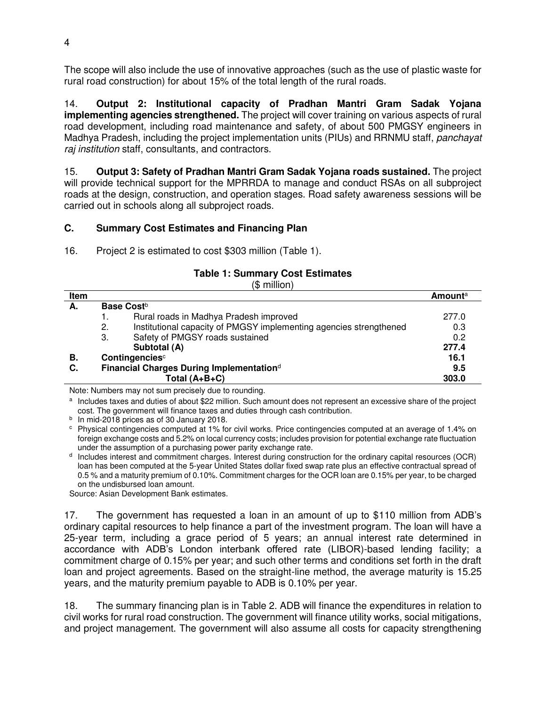The scope will also include the use of innovative approaches (such as the use of plastic waste for rural road construction) for about 15% of the total length of the rural roads.

14. **Output 2: Institutional capacity of Pradhan Mantri Gram Sadak Yojana implementing agencies strengthened.** The project will cover training on various aspects of rural road development, including road maintenance and safety, of about 500 PMGSY engineers in Madhya Pradesh, including the project implementation units (PIUs) and RRNMU staff, *panchayat raj institution* staff, consultants, and contractors.

15. **Output 3: Safety of Pradhan Mantri Gram Sadak Yojana roads sustained.** The project will provide technical support for the MPRRDA to manage and conduct RSAs on all subproject roads at the design, construction, and operation stages. Road safety awareness sessions will be carried out in schools along all subproject roads.

# **C. Summary Cost Estimates and Financing Plan**

16. Project 2 is estimated to cost \$303 million (Table 1).

# **Table 1: Summary Cost Estimates**

(\$ million) **Item Amount**<sup>a</sup> A. Base Cost<sup>b</sup> 1. Rural roads in Madhya Pradesh improved 277.0 2. Institutional capacity of PMGSY implementing agencies strengthened 0.3 3. Safety of PMGSY roads sustained 0.2  **Subtotal (A) 277.4 B.** Contingencies<sup>c</sup> 16.1 **Contingencies 16.1 C. Exercise in the U.S. 16.1 C. 16.1 C. Properties 16.1 Financial Charges During Implementation**<sup>d</sup>  **Total (A+B+C) 303.0** 

Note: Numbers may not sum precisely due to rounding.

a Includes taxes and duties of about \$22 million. Such amount does not represent an excessive share of the project cost. The government will finance taxes and duties through cash contribution.

<sup>b</sup> In mid-2018 prices as of 30 January 2018.

c Physical contingencies computed at 1% for civil works. Price contingencies computed at an average of 1.4% on foreign exchange costs and 5.2% on local currency costs; includes provision for potential exchange rate fluctuation under the assumption of a purchasing power parity exchange rate.

d Includes interest and commitment charges. Interest during construction for the ordinary capital resources (OCR) loan has been computed at the 5-year United States dollar fixed swap rate plus an effective contractual spread of 0.5 % and a maturity premium of 0.10%. Commitment charges for the OCR loan are 0.15% per year, to be charged on the undisbursed loan amount.

Source: Asian Development Bank estimates.

17. The government has requested a loan in an amount of up to \$110 million from ADB's ordinary capital resources to help finance a part of the investment program. The loan will have a 25-year term, including a grace period of 5 years; an annual interest rate determined in accordance with ADB's London interbank offered rate (LIBOR)-based lending facility; a commitment charge of 0.15% per year; and such other terms and conditions set forth in the draft loan and project agreements. Based on the straight-line method, the average maturity is 15.25 years, and the maturity premium payable to ADB is 0.10% per year.

18. The summary financing plan is in Table 2. ADB will finance the expenditures in relation to civil works for rural road construction. The government will finance utility works, social mitigations, and project management. The government will also assume all costs for capacity strengthening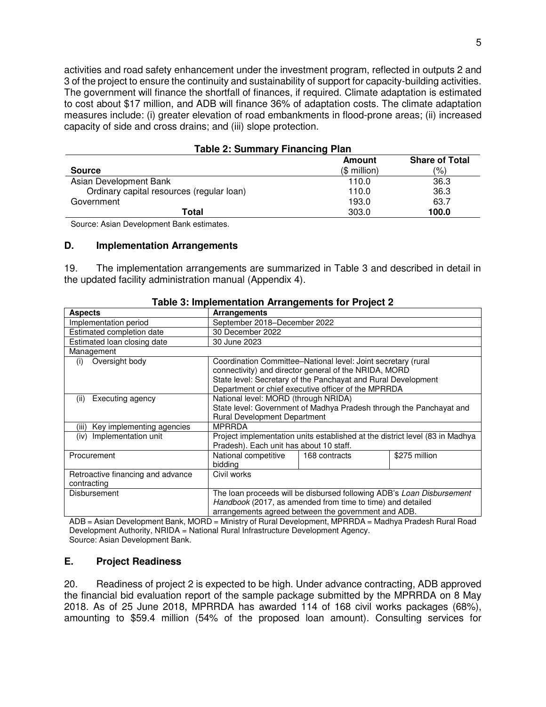activities and road safety enhancement under the investment program, reflected in outputs 2 and 3 of the project to ensure the continuity and sustainability of support for capacity-building activities. The government will finance the shortfall of finances, if required. Climate adaptation is estimated to cost about \$17 million, and ADB will finance 36% of adaptation costs. The climate adaptation measures include: (i) greater elevation of road embankments in flood-prone areas; (ii) increased capacity of side and cross drains; and (iii) slope protection.

| Table 2. Summary Financing Fight          |               |                       |
|-------------------------------------------|---------------|-----------------------|
|                                           | Amount        | <b>Share of Total</b> |
| <b>Source</b>                             | $($$ million) | (%)                   |
| Asian Development Bank                    | 110.0         | 36.3                  |
| Ordinary capital resources (regular loan) | 110.0         | 36.3                  |
| Government                                | 193.0         | 63.7                  |
| Total                                     | 303.0         | 100.0                 |

# **Table 2: Summary Financing Plan**

Source: Asian Development Bank estimates.

#### **D. Implementation Arrangements**

19. The implementation arrangements are summarized in Table 3 and described in detail in the updated facility administration manual (Appendix 4).

| <u>asio of mipromontanon ranangomonto for riopot =</u> |                                                                                                                                                                                                                                                |               |                                                                              |
|--------------------------------------------------------|------------------------------------------------------------------------------------------------------------------------------------------------------------------------------------------------------------------------------------------------|---------------|------------------------------------------------------------------------------|
| <b>Aspects</b>                                         | <b>Arrangements</b>                                                                                                                                                                                                                            |               |                                                                              |
| Implementation period                                  | September 2018–December 2022                                                                                                                                                                                                                   |               |                                                                              |
| Estimated completion date                              | 30 December 2022                                                                                                                                                                                                                               |               |                                                                              |
| Estimated loan closing date                            | 30 June 2023                                                                                                                                                                                                                                   |               |                                                                              |
| Management                                             |                                                                                                                                                                                                                                                |               |                                                                              |
| Oversight body<br>(i)                                  | Coordination Committee–National level: Joint secretary (rural<br>connectivity) and director general of the NRIDA, MORD<br>State level: Secretary of the Panchayat and Rural Development<br>Department or chief executive officer of the MPRRDA |               |                                                                              |
| Executing agency<br>(ii)                               | National level: MORD (through NRIDA)<br><b>Rural Development Department</b>                                                                                                                                                                    |               | State level: Government of Madhya Pradesh through the Panchayat and          |
| Key implementing agencies<br>(iii)                     | <b>MPRRDA</b>                                                                                                                                                                                                                                  |               |                                                                              |
| Implementation unit<br>(iv)                            | Pradesh). Each unit has about 10 staff.                                                                                                                                                                                                        |               | Project implementation units established at the district level (83 in Madhya |
| Procurement                                            | National competitive<br>bidding                                                                                                                                                                                                                | 168 contracts | \$275 million                                                                |
| Retroactive financing and advance<br>contracting       | Civil works                                                                                                                                                                                                                                    |               |                                                                              |
| <b>Disbursement</b>                                    | Handbook (2017, as amended from time to time) and detailed<br>arrangements agreed between the government and ADB.                                                                                                                              |               | The loan proceeds will be disbursed following ADB's Loan Disbursement        |

#### **Table 3: Implementation Arrangements for Project 2**

ADB = Asian Development Bank, MORD = Ministry of Rural Development, MPRRDA = Madhya Pradesh Rural Road Development Authority, NRIDA = National Rural Infrastructure Development Agency. Source: Asian Development Bank.

#### **E. Project Readiness**

20. Readiness of project 2 is expected to be high. Under advance contracting, ADB approved the financial bid evaluation report of the sample package submitted by the MPRRDA on 8 May 2018. As of 25 June 2018, MPRRDA has awarded 114 of 168 civil works packages (68%), amounting to \$59.4 million (54% of the proposed loan amount). Consulting services for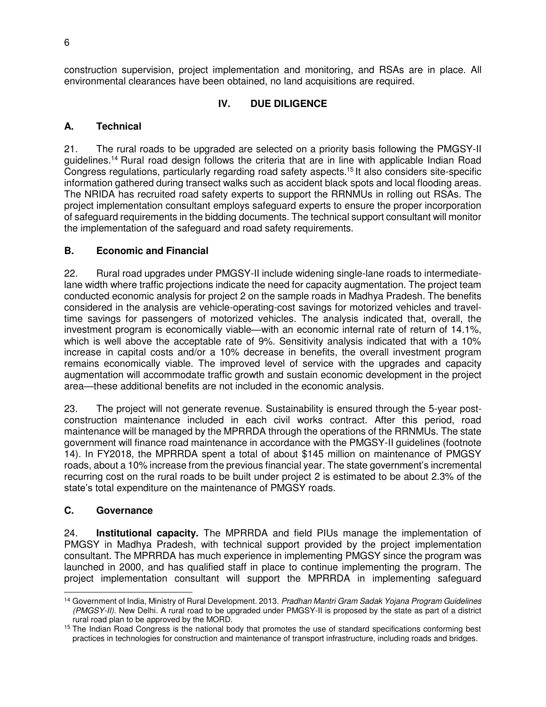construction supervision, project implementation and monitoring, and RSAs are in place. All environmental clearances have been obtained, no land acquisitions are required.

# **IV. DUE DILIGENCE**

#### **A. Technical**

21. The rural roads to be upgraded are selected on a priority basis following the PMGSY-II guidelines.<sup>14</sup> Rural road design follows the criteria that are in line with applicable Indian Road Congress regulations, particularly regarding road safety aspects.<sup>15</sup> It also considers site-specific information gathered during transect walks such as accident black spots and local flooding areas. The NRIDA has recruited road safety experts to support the RRNMUs in rolling out RSAs. The project implementation consultant employs safeguard experts to ensure the proper incorporation of safeguard requirements in the bidding documents. The technical support consultant will monitor the implementation of the safeguard and road safety requirements.

#### **B. Economic and Financial**

22. Rural road upgrades under PMGSY-II include widening single-lane roads to intermediatelane width where traffic projections indicate the need for capacity augmentation. The project team conducted economic analysis for project 2 on the sample roads in Madhya Pradesh. The benefits considered in the analysis are vehicle-operating-cost savings for motorized vehicles and traveltime savings for passengers of motorized vehicles. The analysis indicated that, overall, the investment program is economically viable—with an economic internal rate of return of 14.1%, which is well above the acceptable rate of 9%. Sensitivity analysis indicated that with a 10% increase in capital costs and/or a 10% decrease in benefits, the overall investment program remains economically viable. The improved level of service with the upgrades and capacity augmentation will accommodate traffic growth and sustain economic development in the project area—these additional benefits are not included in the economic analysis.

23. The project will not generate revenue. Sustainability is ensured through the 5-year postconstruction maintenance included in each civil works contract. After this period, road maintenance will be managed by the MPRRDA through the operations of the RRNMUs. The state government will finance road maintenance in accordance with the PMGSY-II guidelines (footnote 14). In FY2018, the MPRRDA spent a total of about \$145 million on maintenance of PMGSY roads, about a 10% increase from the previous financial year. The state government's incremental recurring cost on the rural roads to be built under project 2 is estimated to be about 2.3% of the state's total expenditure on the maintenance of PMGSY roads.

#### **C. Governance**

24. **Institutional capacity.** The MPRRDA and field PIUs manage the implementation of PMGSY in Madhya Pradesh, with technical support provided by the project implementation consultant. The MPRRDA has much experience in implementing PMGSY since the program was launched in 2000, and has qualified staff in place to continue implementing the program. The project implementation consultant will support the MPRRDA in implementing safeguard

 $\overline{a}$ <sup>14</sup> Government of India, Ministry of Rural Development. 2013. *Pradhan Mantri Gram Sadak Yojana Program Guidelines (PMGSY-II)*. New Delhi. A rural road to be upgraded under PMGSY-II is proposed by the state as part of a district rural road plan to be approved by the MORD.

<sup>&</sup>lt;sup>15</sup> The Indian Road Congress is the national body that promotes the use of standard specifications conforming best practices in technologies for construction and maintenance of transport infrastructure, including roads and bridges.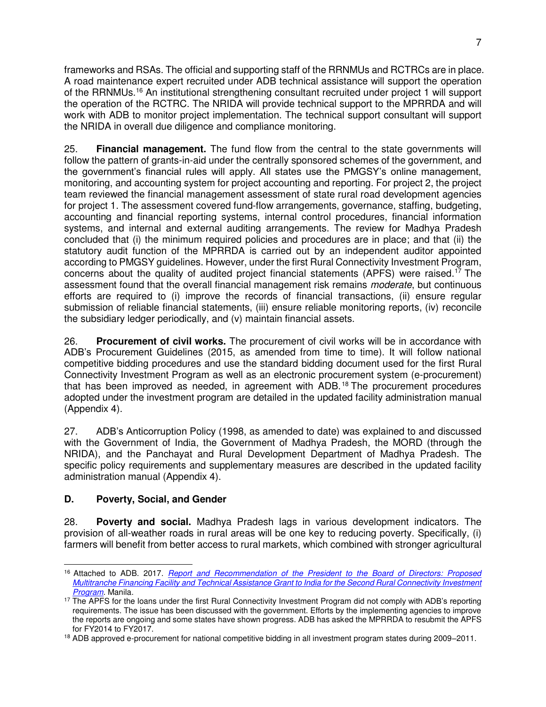frameworks and RSAs. The official and supporting staff of the RRNMUs and RCTRCs are in place. A road maintenance expert recruited under ADB technical assistance will support the operation of the RRNMUs.<sup>16</sup> An institutional strengthening consultant recruited under project 1 will support the operation of the RCTRC. The NRIDA will provide technical support to the MPRRDA and will work with ADB to monitor project implementation. The technical support consultant will support the NRIDA in overall due diligence and compliance monitoring.

25. **Financial management.** The fund flow from the central to the state governments will follow the pattern of grants-in-aid under the centrally sponsored schemes of the government, and the government's financial rules will apply. All states use the PMGSY's online management, monitoring, and accounting system for project accounting and reporting. For project 2, the project team reviewed the financial management assessment of state rural road development agencies for project 1. The assessment covered fund-flow arrangements, governance, staffing, budgeting, accounting and financial reporting systems, internal control procedures, financial information systems, and internal and external auditing arrangements. The review for Madhya Pradesh concluded that (i) the minimum required policies and procedures are in place; and that (ii) the statutory audit function of the MPRRDA is carried out by an independent auditor appointed according to PMGSY guidelines. However, under the first Rural Connectivity Investment Program, concerns about the quality of audited project financial statements (APFS) were raised.<sup>17</sup> The assessment found that the overall financial management risk remains *moderate*, but continuous efforts are required to (i) improve the records of financial transactions, (ii) ensure regular submission of reliable financial statements, (iii) ensure reliable monitoring reports, (iv) reconcile the subsidiary ledger periodically, and (v) maintain financial assets.

26. **Procurement of civil works.** The procurement of civil works will be in accordance with ADB's Procurement Guidelines (2015, as amended from time to time). It will follow national competitive bidding procedures and use the standard bidding document used for the first Rural Connectivity Investment Program as well as an electronic procurement system (e-procurement) that has been improved as needed, in agreement with ADB. <sup>18</sup> The procurement procedures adopted under the investment program are detailed in the updated facility administration manual (Appendix 4).

27. ADB's Anticorruption Policy (1998, as amended to date) was explained to and discussed with the Government of India, the Government of Madhya Pradesh, the MORD (through the NRIDA), and the Panchayat and Rural Development Department of Madhya Pradesh. The specific policy requirements and supplementary measures are described in the updated facility administration manual (Appendix 4).

# **D. Poverty, Social, and Gender**

28. **Poverty and social.** Madhya Pradesh lags in various development indicators. The provision of all-weather roads in rural areas will be one key to reducing poverty. Specifically, (i) farmers will benefit from better access to rural markets, which combined with stronger agricultural

 <sup>16</sup> Attached to ADB. 2017. *[Report and Recommendation of the President to the Board of Directors: Proposed](https://www.adb.org/projects/48226-002/main)  [Multitranche Financing Facility and Technical Assistance Grant to India for the Second Rural Connectivity Investment](https://www.adb.org/projects/48226-002/main)  [Program](https://www.adb.org/projects/48226-002/main)*. Manila.

<sup>&</sup>lt;sup>17</sup> The APFS for the loans under the first Rural Connectivity Investment Program did not comply with ADB's reporting requirements. The issue has been discussed with the government. Efforts by the implementing agencies to improve the reports are ongoing and some states have shown progress. ADB has asked the MPRRDA to resubmit the APFS for FY2014 to FY2017.

<sup>18</sup> ADB approved e-procurement for national competitive bidding in all investment program states during 2009–2011.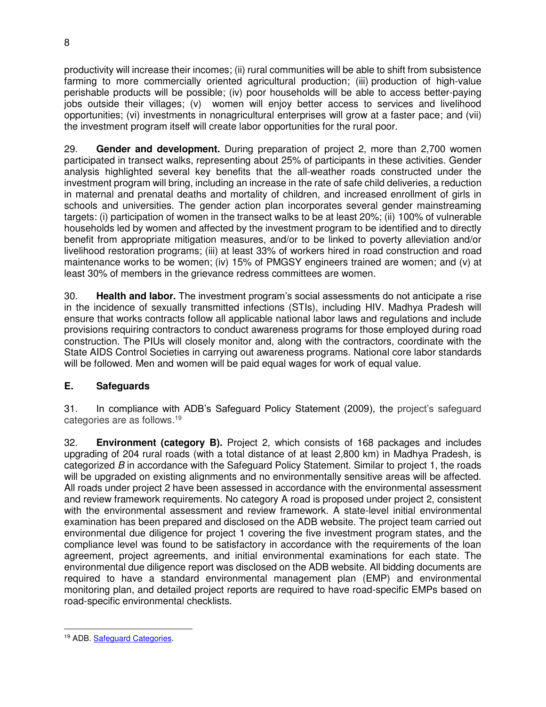productivity will increase their incomes; (ii) rural communities will be able to shift from subsistence farming to more commercially oriented agricultural production; (iii) production of high-value perishable products will be possible; (iv) poor households will be able to access better-paying jobs outside their villages; (v) women will enjoy better access to services and livelihood opportunities; (vi) investments in nonagricultural enterprises will grow at a faster pace; and (vii) the investment program itself will create labor opportunities for the rural poor.

29. **Gender and development.** During preparation of project 2, more than 2,700 women participated in transect walks, representing about 25% of participants in these activities. Gender analysis highlighted several key benefits that the all-weather roads constructed under the investment program will bring, including an increase in the rate of safe child deliveries, a reduction in maternal and prenatal deaths and mortality of children, and increased enrollment of girls in schools and universities. The gender action plan incorporates several gender mainstreaming targets: (i) participation of women in the transect walks to be at least 20%; (ii) 100% of vulnerable households led by women and affected by the investment program to be identified and to directly benefit from appropriate mitigation measures, and/or to be linked to poverty alleviation and/or livelihood restoration programs; (iii) at least 33% of workers hired in road construction and road maintenance works to be women; (iv) 15% of PMGSY engineers trained are women; and (v) at least 30% of members in the grievance redress committees are women.

30. **Health and labor.** The investment program's social assessments do not anticipate a rise in the incidence of sexually transmitted infections (STIs), including HIV. Madhya Pradesh will ensure that works contracts follow all applicable national labor laws and regulations and include provisions requiring contractors to conduct awareness programs for those employed during road construction. The PIUs will closely monitor and, along with the contractors, coordinate with the State AIDS Control Societies in carrying out awareness programs. National core labor standards will be followed. Men and women will be paid equal wages for work of equal value.

# **E. Safeguards**

31. In compliance with ADB's Safeguard Policy Statement (2009), the project's safeguard categories are as follows.<sup>19</sup>

32. **Environment (category B).** Project 2, which consists of 168 packages and includes upgrading of 204 rural roads (with a total distance of at least 2,800 km) in Madhya Pradesh, is categorized *B* in accordance with the Safeguard Policy Statement. Similar to project 1, the roads will be upgraded on existing alignments and no environmentally sensitive areas will be affected. All roads under project 2 have been assessed in accordance with the environmental assessment and review framework requirements. No category A road is proposed under project 2, consistent with the environmental assessment and review framework. A state-level initial environmental examination has been prepared and disclosed on the ADB website. The project team carried out environmental due diligence for project 1 covering the five investment program states, and the compliance level was found to be satisfactory in accordance with the requirements of the loan agreement, project agreements, and initial environmental examinations for each state. The environmental due diligence report was disclosed on the ADB website. All bidding documents are required to have a standard environmental management plan (EMP) and environmental monitoring plan, and detailed project reports are required to have road-specific EMPs based on road-specific environmental checklists.

 $\overline{a}$ <sup>19</sup> ADB. **Safeguard Categories**.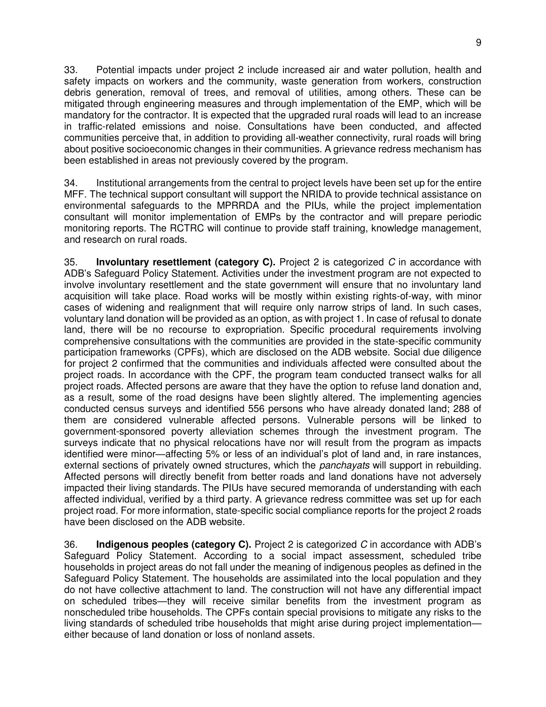33. Potential impacts under project 2 include increased air and water pollution, health and safety impacts on workers and the community, waste generation from workers, construction debris generation, removal of trees, and removal of utilities, among others. These can be mitigated through engineering measures and through implementation of the EMP, which will be mandatory for the contractor. It is expected that the upgraded rural roads will lead to an increase in traffic-related emissions and noise. Consultations have been conducted, and affected communities perceive that, in addition to providing all-weather connectivity, rural roads will bring about positive socioeconomic changes in their communities. A grievance redress mechanism has been established in areas not previously covered by the program.

34. Institutional arrangements from the central to project levels have been set up for the entire MFF. The technical support consultant will support the NRIDA to provide technical assistance on environmental safeguards to the MPRRDA and the PIUs, while the project implementation consultant will monitor implementation of EMPs by the contractor and will prepare periodic monitoring reports. The RCTRC will continue to provide staff training, knowledge management, and research on rural roads.

35. **Involuntary resettlement (category C).** Project 2 is categorized *C* in accordance with ADB's Safeguard Policy Statement. Activities under the investment program are not expected to involve involuntary resettlement and the state government will ensure that no involuntary land acquisition will take place. Road works will be mostly within existing rights-of-way, with minor cases of widening and realignment that will require only narrow strips of land. In such cases, voluntary land donation will be provided as an option, as with project 1. In case of refusal to donate land, there will be no recourse to expropriation. Specific procedural requirements involving comprehensive consultations with the communities are provided in the state-specific community participation frameworks (CPFs), which are disclosed on the ADB website. Social due diligence for project 2 confirmed that the communities and individuals affected were consulted about the project roads. In accordance with the CPF, the program team conducted transect walks for all project roads. Affected persons are aware that they have the option to refuse land donation and, as a result, some of the road designs have been slightly altered. The implementing agencies conducted census surveys and identified 556 persons who have already donated land; 288 of them are considered vulnerable affected persons. Vulnerable persons will be linked to government-sponsored poverty alleviation schemes through the investment program. The surveys indicate that no physical relocations have nor will result from the program as impacts identified were minor—affecting 5% or less of an individual's plot of land and, in rare instances, external sections of privately owned structures, which the *panchayats* will support in rebuilding. Affected persons will directly benefit from better roads and land donations have not adversely impacted their living standards. The PIUs have secured memoranda of understanding with each affected individual, verified by a third party. A grievance redress committee was set up for each project road. For more information, state-specific social compliance reports for the project 2 roads have been disclosed on the ADB website.

36. **Indigenous peoples (category C).** Project 2 is categorized *C* in accordance with ADB's Safeguard Policy Statement. According to a social impact assessment, scheduled tribe households in project areas do not fall under the meaning of indigenous peoples as defined in the Safeguard Policy Statement. The households are assimilated into the local population and they do not have collective attachment to land. The construction will not have any differential impact on scheduled tribes—they will receive similar benefits from the investment program as nonscheduled tribe households. The CPFs contain special provisions to mitigate any risks to the living standards of scheduled tribe households that might arise during project implementation either because of land donation or loss of nonland assets.